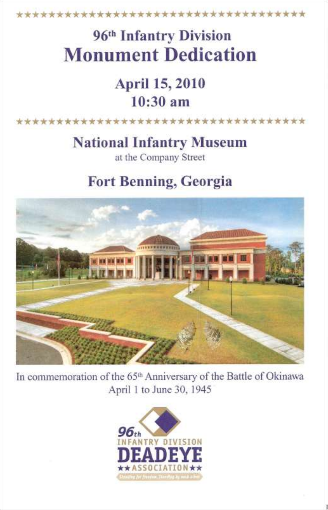\*\*\*\*\*\*\*\*\*\*\*\*\*\*\*\*\*\*\*\*\*\*\*\*\*\*\*\*\*\*\*\*\*\*

# 96th Infantry Division **Monument Dedication**

## April 15, 2010 10:30 am

\*\*\*\*\*\*\*\*\*\*\*\*\*\*\*\*\*\*\*\*\* \*\*\*\*\*\*\*\*\*\*\*\*\*

## National Infantry Museum

at the Company Street

## Fort Benning, Georgia



In commemoration of the 65<sup>th</sup> Anniversary of the Battle of Okinawa April 1 to June 30, 1945

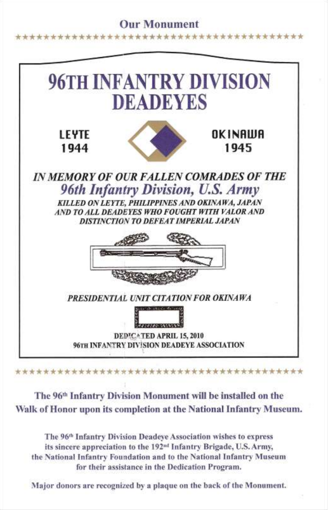#### Our Monument



The 96<sup>th</sup> Infantry Division Monument will be installed on the Walk of Honor upon its completion at the National Infantry Museum.

The 96<sup>th</sup> Infantry Division Deadeye Association wishes to express its sincere appreciation to the 192<sup>nd</sup> Infantry Brigade, U.S. Army, the National Infantry Foundation and to the National Infantry Museum for their assistance in the Dedication Program.

Major donors are recognized by a plaque on the back of the Monument.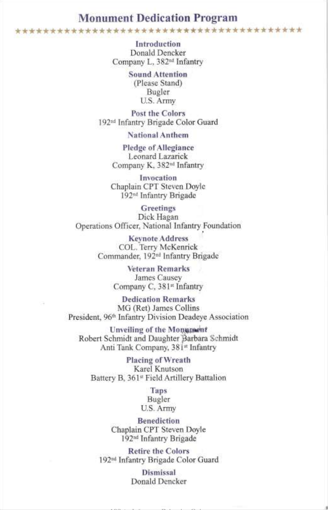#### **Monument Dedication Program**

**Introduction** Donald Dencker Company L, 382nd Infantry

> **Sound Attention**  (Please Stand) Bugler U.S. Army

**Post the Colors** 192<sup>nd</sup> Infantry Brigade Color Guard

National Anthem

**Pledge of Allegiance Leonard** Lazarick Company K, 382<sup>nd</sup> Infantry

**Invocation Chaplain CPT Steven Dovle** 192<sup>nd</sup> Infantry Brigade

**Greetings** Dick Hagan National Infantry<sub>,</sub>

> **Keynote Address** COL. Terry McKenrick Commander, 192<sup>nd</sup> Infantry Brigade

> > Veteran Remarks James Causey Company C, 381<sup>st</sup> Infantry

**Dedication Remarks** MG (Ret) James Collins President, 96<sup>th</sup> Infantry Division Deadeye Association

**Unveiling of the Monument** Robert Schmidt and Daughter Barbara Schmidt President, 96th Infantry Division Deadeye .ompany, .

**Placing of Wreath**<br>Karel Knutson Robert Schwagen<br>Robert D. 2410 East And House Dattalian  $\alpha$  Tank Company,  $\alpha$   $\alpha$   $\beta$   $\beta$   $\alpha$ 

> **Taps**<br>Bugler  $M_{\text{S}}^{\text{H}}$  $\sigma$ ,  $\sigma$ ,  $\sigma$ ,  $\sigma$ ,  $\sigma$

Benediction **Taps** ranuy

**Retire the Colors** 192<sup>nd</sup> Infantry Brigade Color Guard

> Dismissal Donald Dencker

192nd Infantry Brigade Color